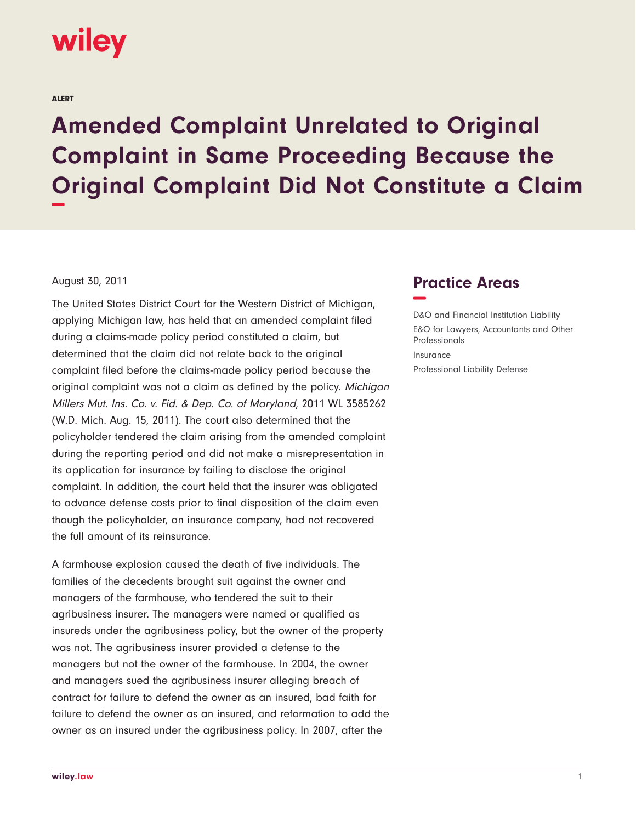

ALERT

## **Amended Complaint Unrelated to Original Complaint in Same Proceeding Because the Original Complaint Did Not Constitute a Claim −**

## August 30, 2011

The United States District Court for the Western District of Michigan, applying Michigan law, has held that an amended complaint filed during a claims-made policy period constituted a claim, but determined that the claim did not relate back to the original complaint filed before the claims-made policy period because the original complaint was not a claim as defined by the policy. Michigan Millers Mut. Ins. Co. v. Fid. & Dep. Co. of Maryland, 2011 WL 3585262 (W.D. Mich. Aug. 15, 2011). The court also determined that the policyholder tendered the claim arising from the amended complaint during the reporting period and did not make a misrepresentation in its application for insurance by failing to disclose the original complaint. In addition, the court held that the insurer was obligated to advance defense costs prior to final disposition of the claim even though the policyholder, an insurance company, had not recovered the full amount of its reinsurance.

A farmhouse explosion caused the death of five individuals. The families of the decedents brought suit against the owner and managers of the farmhouse, who tendered the suit to their agribusiness insurer. The managers were named or qualified as insureds under the agribusiness policy, but the owner of the property was not. The agribusiness insurer provided a defense to the managers but not the owner of the farmhouse. In 2004, the owner and managers sued the agribusiness insurer alleging breach of contract for failure to defend the owner as an insured, bad faith for failure to defend the owner as an insured, and reformation to add the owner as an insured under the agribusiness policy. In 2007, after the

## **Practice Areas −**

D&O and Financial Institution Liability E&O for Lawyers, Accountants and Other Professionals Insurance Professional Liability Defense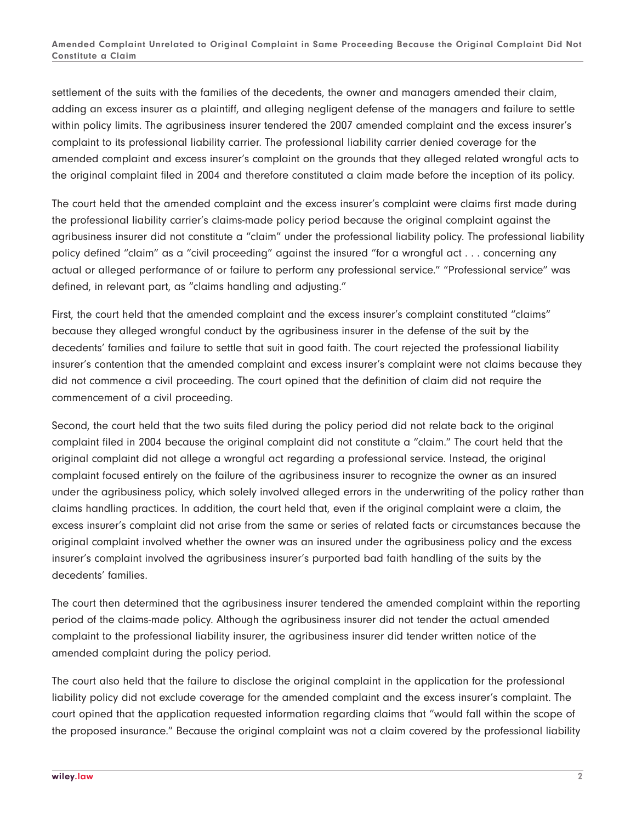settlement of the suits with the families of the decedents, the owner and managers amended their claim, adding an excess insurer as a plaintiff, and alleging negligent defense of the managers and failure to settle within policy limits. The agribusiness insurer tendered the 2007 amended complaint and the excess insurer's complaint to its professional liability carrier. The professional liability carrier denied coverage for the amended complaint and excess insurer's complaint on the grounds that they alleged related wrongful acts to the original complaint filed in 2004 and therefore constituted a claim made before the inception of its policy.

The court held that the amended complaint and the excess insurer's complaint were claims first made during the professional liability carrier's claims-made policy period because the original complaint against the agribusiness insurer did not constitute a "claim" under the professional liability policy. The professional liability policy defined "claim" as a "civil proceeding" against the insured "for a wrongful act . . . concerning any actual or alleged performance of or failure to perform any professional service." "Professional service" was defined, in relevant part, as "claims handling and adjusting."

First, the court held that the amended complaint and the excess insurer's complaint constituted "claims" because they alleged wrongful conduct by the agribusiness insurer in the defense of the suit by the decedents' families and failure to settle that suit in good faith. The court rejected the professional liability insurer's contention that the amended complaint and excess insurer's complaint were not claims because they did not commence a civil proceeding. The court opined that the definition of claim did not require the commencement of a civil proceeding.

Second, the court held that the two suits filed during the policy period did not relate back to the original complaint filed in 2004 because the original complaint did not constitute a "claim." The court held that the original complaint did not allege a wrongful act regarding a professional service. Instead, the original complaint focused entirely on the failure of the agribusiness insurer to recognize the owner as an insured under the agribusiness policy, which solely involved alleged errors in the underwriting of the policy rather than claims handling practices. In addition, the court held that, even if the original complaint were a claim, the excess insurer's complaint did not arise from the same or series of related facts or circumstances because the original complaint involved whether the owner was an insured under the agribusiness policy and the excess insurer's complaint involved the agribusiness insurer's purported bad faith handling of the suits by the decedents' families.

The court then determined that the agribusiness insurer tendered the amended complaint within the reporting period of the claims-made policy. Although the agribusiness insurer did not tender the actual amended complaint to the professional liability insurer, the agribusiness insurer did tender written notice of the amended complaint during the policy period.

The court also held that the failure to disclose the original complaint in the application for the professional liability policy did not exclude coverage for the amended complaint and the excess insurer's complaint. The court opined that the application requested information regarding claims that "would fall within the scope of the proposed insurance." Because the original complaint was not a claim covered by the professional liability